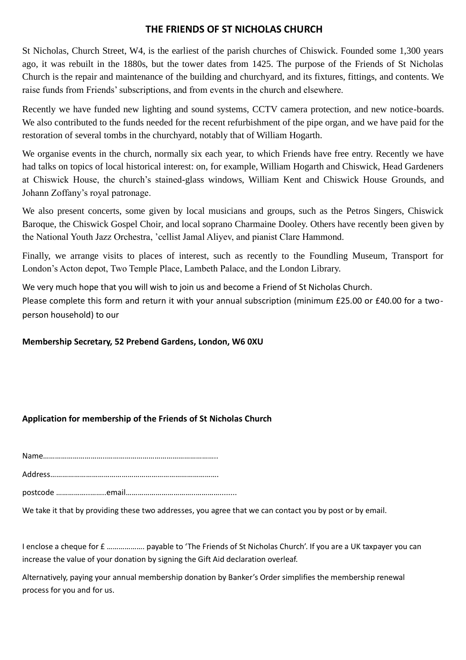## **THE FRIENDS OF ST NICHOLAS CHURCH**

St Nicholas, Church Street, W4, is the earliest of the parish churches of Chiswick. Founded some 1,300 years ago, it was rebuilt in the 1880s, but the tower dates from 1425. The purpose of the Friends of St Nicholas Church is the repair and maintenance of the building and churchyard, and its fixtures, fittings, and contents. We raise funds from Friends' subscriptions, and from events in the church and elsewhere.

Recently we have funded new lighting and sound systems, CCTV camera protection, and new notice-boards. We also contributed to the funds needed for the recent refurbishment of the pipe organ, and we have paid for the restoration of several tombs in the churchyard, notably that of William Hogarth.

We organise events in the church, normally six each year, to which Friends have free entry. Recently we have had talks on topics of local historical interest: on, for example, William Hogarth and Chiswick, Head Gardeners at Chiswick House, the church's stained-glass windows, William Kent and Chiswick House Grounds, and Johann Zoffany's royal patronage.

We also present concerts, some given by local musicians and groups, such as the Petros Singers, Chiswick Baroque, the Chiswick Gospel Choir, and local soprano Charmaine Dooley. Others have recently been given by the National Youth Jazz Orchestra, 'cellist Jamal Aliyev, and pianist Clare Hammond.

Finally, we arrange visits to places of interest, such as recently to the Foundling Museum, Transport for London's Acton depot, Two Temple Place, Lambeth Palace, and the London Library.

We very much hope that you will wish to join us and become a Friend of St Nicholas Church. Please complete this form and return it with your annual subscription (minimum £25.00 or £40.00 for a twoperson household) to our

**Membership Secretary, 52 Prebend Gardens, London, W6 0XU**

## **Application for membership of the Friends of St Nicholas Church**

We take it that by providing these two addresses, you agree that we can contact you by post or by email.

I enclose a cheque for £ ………………. payable to 'The Friends of St Nicholas Church'. If you are a UK taxpayer you can increase the value of your donation by signing the Gift Aid declaration overleaf.

Alternatively, paying your annual membership donation by Banker's Order simplifies the membership renewal process for you and for us.